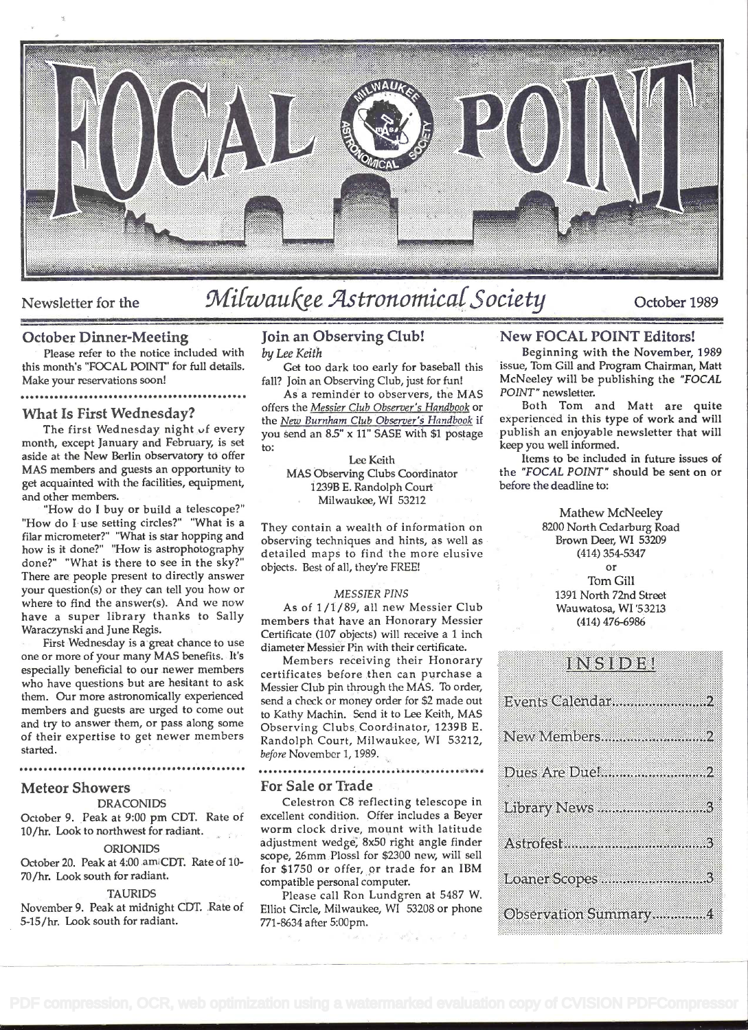

# Newsletter for the Milwaukee Astronomical Society October 1989

### October Dinner-Meeting

Please refer to the notice included with this month's "FOCAL POINT" for full details. Make your reservations soon!

### ................................. e ........

### What Is First Wednesday?

The first Wednesday night of every month, except January and February, is set aside at the New Berlin observatory to offer MAS members and guests an opportunity to get acquainted with the facilities, equipment, and other members.

"How do I buy or build a telescope?" 'How do I use setting circles?" "What is a filar micrometer?" "What is star hopping and observing techniques and hints, as well as how is it done?" "How is astrophotography done?" "What is there to see in the sky?" There are people present to directly answer your question(s) or they can tell you how or where to find the answer(s). And we now have a super library thanks to Sally Waraczynski and June Regis.

First Wednesday is a great chance to use one or more of your many MAS benefits. It's especially beneficial to our newer members who have questions but are hesitant to ask them. Our more astronomically experienced members and guests are urged to come out and try to answer them, or pass along some of their expertise to get newer members started.

. ........................... .... ..............

### Meteor Showers

### **DRACONIDS**

October 9. Peak at 9:00 pm CDT. Rate of 10/hr. Look to northwest for radiant.

### ORIONIDS

October 20. Peak at 4:00 am CDT. Rate of 10-70/hr. Look south for radiant.

#### TAURIDS

November 9. Peak at midnight CDT. Rate of 5-15/hr. Look south for radiant.

### Join an Observing Club! by Lee Keith

Get too dark too early for baseball this fall? Join an Observing Club, just for fun!

As a reminder to observers, the MAS offers the Messier Club Observer's Handbook or the New Burnham Club Observer's Handbook if you send an 8.5" x 11" SASE with \$1 postage to:

Lee Keith MAS Observing Clubs Coordinator 1239B E. Randolph Court Milwaukee, WI 53212

They contain a wealth of information on detailed maps to find the more elusive objects. Best of all, theyre FREE!

### MESSIER PINS

As of 1/1/89, all new Messier Club members that have an Honorary Messier Certificate (107 objects) will receive a I inch diameter Messier Pin with their certificate.

Members receiving their Honorary certificates before then can purchase a Messier Club pin through the MAS. To order, send a check or money order for \$2 made out to Kathy Machin. Send it to Lee Keith, MAS Observing Clubs Coordinator, 1239B E.<br>Randolph Court, Milwaukee, WL 53212 New Members................................. Randolph Court, Milwaukee, WI 53212, before November 1, 1989.

#### .....................

### For Sale or Trade

excellent condition. Offer includes a Beyer worm clock drive, mount with latitude adjustment wedge, 8x50 right angle finder scope, 26mm Plossl for \$2300 new, will sell for \$1750 or offer, or trade for an IBM compatible personal computer.

Please call Ron Lundgren at 5487 W. Elliot Circle, Milwaukee, WI 53208 or phone **Observation Summary...............4** 771-8634 after 5:00pm.

### New FOCAL POINT Editors!

Beginning with the November, 1989 issue, Tom Gill and Program Chairman, Matt McNeley will be publishing the "FOCAL POINT" newsletter.

Both Tom and Matt are quite experienced in this type of work and will publish an enjoyable newsletter that will keep you well informed.

Items to be included in future issues of the "FOCAL POINT" should be sent on or before the deadline to:

> Mathew McNeeley 8200 North Cedarburg Road Brown Deer, WI 53209 (414) 354-5347

> > or

Tom Gill 1391 North 72nd Street Wauwatosa, WI '53213 (414) 476-6986

### ensedie

Celestron C8 reflecting telescope in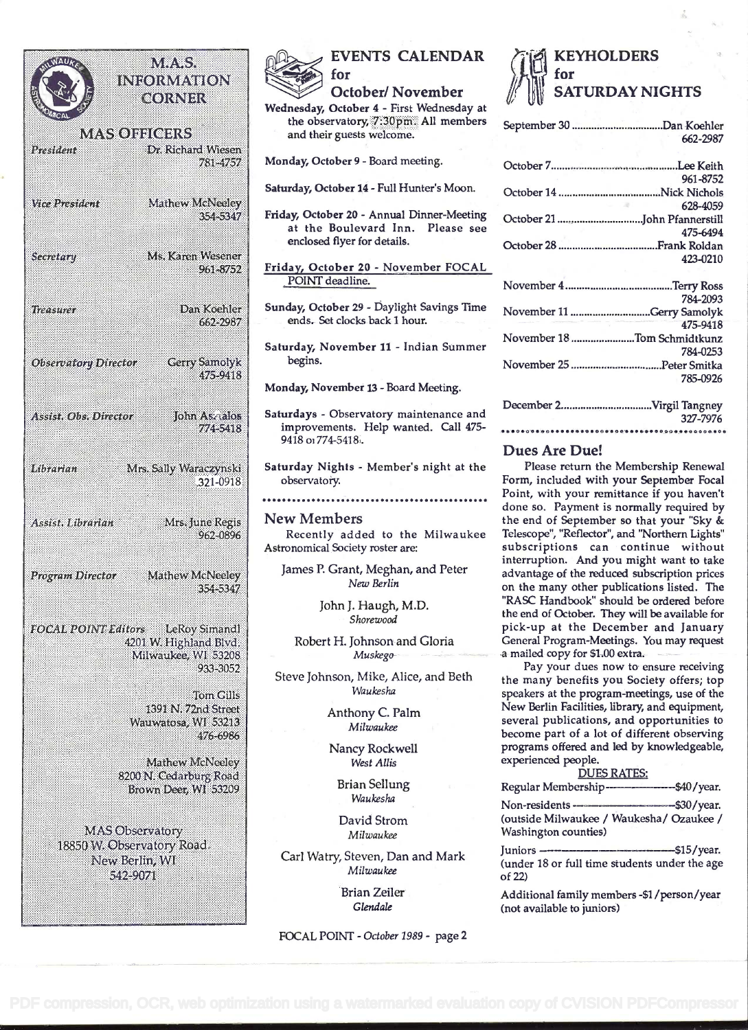### NW. SS INI :(0) (UVE V8 (0) N િશિકા કરી MAS OBIGBRS President Dr. Richard Wiesen 781-4757 *Marknesident* Mathew McNeeley 354-5347 **Secretori** Ms. Karen Wesener 961-3752 Dan Koehler Treasurer 662-2987 Cerry Samolyk **Observatory Director** 475-9418 John Assalos ASSISIA ObseDirector 774-5418 Mrs. Sally Waraczynski Librarian 321-0918 Mrs. June Regis Assist. Librarian 962-0896 Program Director Mathew McNeeley 354-5347 LeRoy Simandl **FOCAL POINT Editors** 4201 W. Highland Blvd. Milwaukee, WI 53208 933-3052 Tom Gills 1891 IN 7276 Street Wauwatosa, WI 53213 476-6986 Mathew McNeeley 8200 N. Cedarburg Road Brown Deer, WI 53209 MAS Observatory 18850 W. Observatory Road. New Berlin, WI 542-9071



### EVENTS CALENDAR for

October/November

Wednesday, October 4 - First Wednesday at the observatory, 7:30pm. All members and their guests welcome.

Monday, October 9 - Board meeting.

Saturday, October 14 - Full Hunter's Moon.

Friday, October 20 - Annual Dinner-Meeting at the Boulevard Inn. Please see enclosed flyer for details.

Friday, October 20 - November FOCAL POINT deadline.

- Sunday, October 29 Daylight Savings Time ends. Set clocks back I hour.
- Saturday, November 11 Indian Summer begins.

Monday, November 13 - Board Meeting.

- Saturdays Observatory maintenance and improvements. Help wanted. Call 475- 9418 oi 774-5418.
- Saturday Nights Member's night at the observatory

..... ..... . .................. ....... .....

New Members

Recently added to the Milwaukee Astronomical Society roster are:

James P. Grant, Meghan, and Peter New Berlin

> John J. Haugh, M.D. Shorewood

Robert H. Johnson and Gloria Muskego

Steve Johnson, Mike, Alice, and Beth Waukesha

> Anthony C. Palm Milwaukee

Nancy Rockwell West Allis

Brian Sellung Waukesha

David Strom Milwaukee

Carl Watry, Steven, Dan and Mark Milwaukee

> Brian Zeiler Glendale

FOCAL POINT - October 1989 - page 2



| 662-2987                    |  |  |
|-----------------------------|--|--|
|                             |  |  |
| 961-8752                    |  |  |
|                             |  |  |
| Service Control<br>628-4059 |  |  |
|                             |  |  |
| 475-6494                    |  |  |
|                             |  |  |
| 423-0210                    |  |  |
|                             |  |  |
| 784-2093                    |  |  |
| November 11 Gerry Samolyk   |  |  |
| 475-9418                    |  |  |
| November 18 Tom Schmidtkunz |  |  |
| 784-0253                    |  |  |
|                             |  |  |
| 785-0926                    |  |  |
| December 2Virgil Tangney    |  |  |
| 327-7976                    |  |  |
|                             |  |  |

### Dues Are Due!

Please return the Membership Renewal Form, included with your September Focal Point, with your remittance if you haven't done so. Payment is normally required by the end of September so that your "Sky & Telescope', "Reflector', and "Northern Lights" subscriptions can continue without interruption. And you might want to take advantage of the reduced subscription prices on the many other publications listed. The "RASC Handbook" should be ordered before the end of October. They will be available for pick-up at the December and January General Program-Meetings. You may request a mailed copy for \$1.00 extra.

Pay your dues now to ensure receiving the many benefits you Society offers; top speakers at the program-meetings, use of the New Berlin Facilities, library, and equipment, several publications, and opportunities to become part of a lot of different observing programs offered and led by knowledgeable, experienced people.

| <b>DUES RATES:</b>                               |
|--------------------------------------------------|
| Regular Membership--------------------\$40/year. |
|                                                  |

Non-residents -- ------\$30/year. (outside Milwaukee / Waukesha/ Ozaukee / Washington counties)

Juniors --- - \$15/year. (under 18 or full time students under the age of 22)

Additional family members -\$1/person/year (not available to juniors)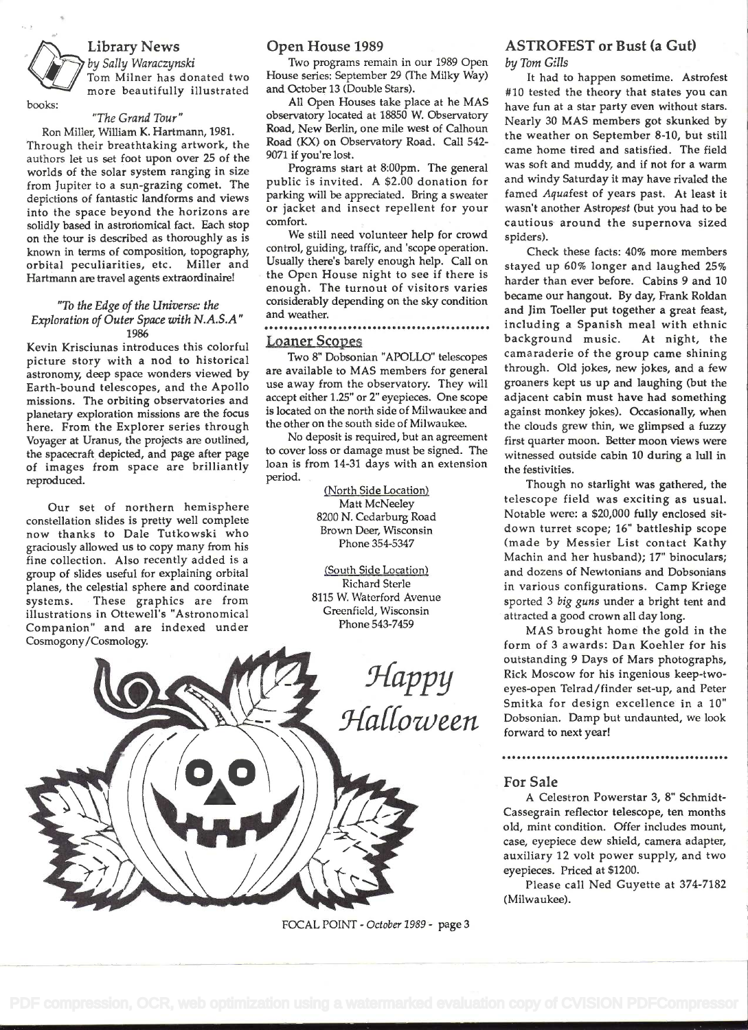### Library News

by Sally Waraczynski<br>Tom Milner has donated two Ho more beautifully illustrated

### "The Grand Tour"

books:

Ron Miller, William K. Hartmann, 1981. Through their breathtaking artwork, the authors let us set foot upon over 25 of the worlds of the solar system ranging in size from Jupiter to a sun-grazing comet. The depictions of fantastic landforms and views into the space beyond the horizons are solidly based in astronomical fact. Each stop on the tour is described as thoroughly as is known in terms of composition, topography, orbital peculiarities, etc. Miller and Hartmann are travel agents extraordinaire!

### "To the Edge of the Universe: the Exploration of Outer Space with N.A.S.A" 1986

Kevin Krisciunas introduces this colorful picture story with a nod to historical astronomy, deep space wonders viewed by Earth-bound telescopes, and the Apollo missions. The orbiting observatories and planetary exploration missions are the focus here. From the Explorer series through Voyager at Uranus, the projects are outlired, the spacecraft depicted, and page after page of images from space are brilliantly reproduced.

Our set of northern hemisphere constellation slides is pretty well complete now thanks to Dale Tutkowski who graciously allowed us to copy many from his fine collection. Also recently added is a group of slides useful for explaining orbital planes, the celestial sphere and coordinate systems. These graphics are from illustrations in Ottewell's "Astronomical Companion" and are indexed under Cosmogony/Cosmology.

### Open House 1989

Two programs remain in our 1989 Open House series: September 29 (The Milky Way) and October 13 (Double Stars).

All Open Houses take place at he MAS observatory located at 18850 W. Observatory Road, New Berlin, one mile west of Calhoun Road (KX) on Observatory Road. Call 542- 9071 if you're lost.

Programs start at 8:00pm. The general public is invited. A \$2.00 donation for parking will be appreciated. Bring a sweater or jacket and insect repellent for your comfort.

We still need volunteer help for crowd control, guiding, traffic, and 'scope operation. Usually there's barely enough help. Call on the Open House night to see if there is enough. The turnout of visitors varies considerably depending on the sky condition and weather.

### s ...... . ............................ Loaner Scopes

Two 8" Dobsonian "APOLLO" telescopes are available to MAS members for general use away from the observatory. They will accept either 1.25" or 2" eyepieces. One scope is located on the north side of Milwaukee and the other on the south side of Milwaukee.

No deposit is required, but an agreement to cover loss or damage must be signed. The loan is from 14-31 days with an extension period.

> (North Side Location) Matt McNeeley 8200 N. Cedarburg Road Brown Deer, Wisconsin Phone 354-5347

(South Side Location Richard Sterle 8115 W. Waterford Avenue Greenfield, Wisconsin Phone 543-7459



FOCAL POINT - October 1989 - page 3

## ASTROFEST or Bust (a Gut)

by Tom Gills

It had to happen sometime. Astrofest #10 tested the theory that states you can have fun at a star party even without stars. Nearly 30 MAS members got skunked by the weather on September 8-10, but still came home tired and satisfied. The field was soft and muddy, and if not for a warm and windy Saturday it may have rivaled the famed Aquafest of years past. At least it wasn't another Astropest (but you had to be cautious around the supernova sized spiders).

Check these facts: 40% more members stayed up 60% longer and laughed 25% harder than ever before. Cabins 9 and 10 became our hangout. By day, Frank Roldan and Jim Toeller put together a great feast, including a Spanish meal with ethnic background music. At night, the camaraderie of the group came shining through. Old jokes, new jokes, and a few groaners kept us up and laughing (but the adjacent cabin must have had something against monkey jokes). Occasionally, when the clouds grew thin, we glimpsed a fuzzy first quarter moon. Better moon views were witnessed outside cabin 10 during a lull in the festivities.

Though no starlight was gathered, the telescope field was exciting as usual. Notable were: a \$20,000 fully enclosed sitdown turret scope; 16" battleship scope (made by Messier List contact Kathy Machin and her husband); 17" binoculars; and dozens of Newtonians and Dobsonians in various configurations. Camp Kriege sported 3 big guns under a bright tent and attracted a good crown all day long.

 $\mathcal{H}appu$  Rick Moscow for his ingenious keep-two-<br>eves-open Telrad/finder set-up, and Peter MAS brought home the gold in the form of 3 awards: Dan Koehier for his outstanding 9 Days of Mars photographs, eyes-open Teirad/finder set-up, and Peter Smitka for design excellence in a 10" Dobsonian. Damp but undaunted, we look forward to next year!

. ..... . .......... . .......

### For Sale

A Celestron Powerstar 3, 8" Schmidt-Cassegrain reflector telescope, ten months old, mint condition. Offer includes mount, case, eyepiece dew shield, camera adapter, auxiliary 12 volt power supply, and two eyepieces. Priced at \$1200.

Please call Ned Guyette at 374-7182 (Milwaukee).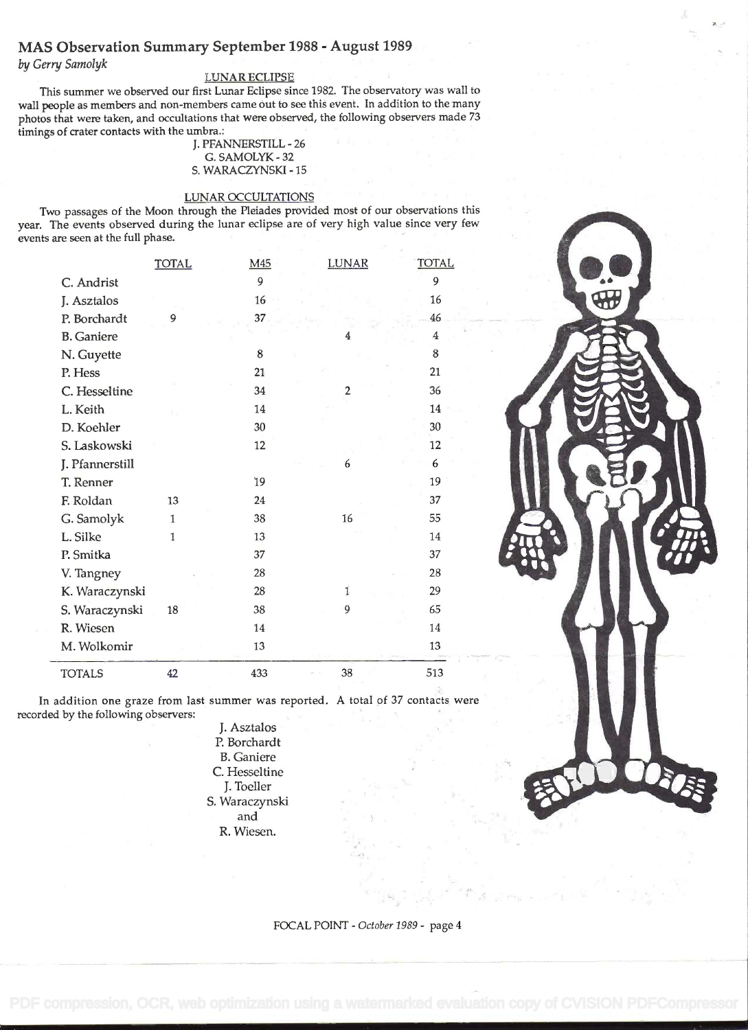### MAS Observation Summary September 1988 - August 1989

by Gerry Samolyk

### LUNAR ECLIPSE

This summer we observed our first Lunar Eclipse since 1982. The observatory was wall to wall people as members and non-members came out to see this event. In addition to the many photos that were taken, and occultations that were observed, the following observers made <sup>73</sup> timings of crater contacts with the umbra.:

J. PFANNERSTILL -26 G. SAMOLYK -32 s. WARACZYNSKI -15

### LUNAR OCCULTATIONS

Two passages of the Moon through the Pleiades provided most of our observations this year. The events observed during the lunar eclipse are of very high value since very few events are seen at the full phase.

|                   | <b>TOTAL</b> | M <sub>45</sub> | <b>LUNAR</b>   | <b>TOTAL</b> |
|-------------------|--------------|-----------------|----------------|--------------|
| C. Andrist        |              | 9               |                | 9            |
| J. Asztalos       |              | 16              |                | 16           |
| P. Borchardt      | 9            | 37              |                | 46           |
| <b>B.</b> Ganiere |              |                 | 4              | 4            |
| N. Guyette        |              | 8               |                | 8            |
| P. Hess           |              | 21              |                | 21           |
| C. Hesseltine     |              | 34              | $\overline{2}$ | 36           |
| L. Keith          |              | 14              |                | 14           |
| D. Koehler        |              | 30              |                | 30           |
| S. Laskowski      |              | 12              |                | 12           |
| J. Pfannerstill   |              |                 | 6              | 6            |
| T. Renner         |              | 19              |                | 19           |
| F. Roldan         | 13           | 24              |                | 37           |
| G. Samolyk        | $\mathbf{1}$ | 38              | 16             | 55           |
| L. Silke          | $\mathbf{1}$ | 13              |                | 14           |
| P. Smitka         |              | 37              |                | 37           |
| V. Tangney        |              | 28              |                | 28           |
| K. Waraczynski    |              | 28              | $\mathbf{1}$   | 29           |
| S. Waraczynski    | 18           | 38              | 9              | 65           |
| R. Wiesen         |              | 14              |                | 14           |
| M. Wolkomir       |              | 13              |                | 13           |
| <b>TOTALS</b>     | 42           | 433             | 38             | 513          |

In addition one graze from last summer was reported. A total of 37 contacts were recorded by the following observers:

J. Asztalos P. Borchardt B. Ganiere C. Hesseltine J. Toeller S. Waraczynski and R. Wiesen.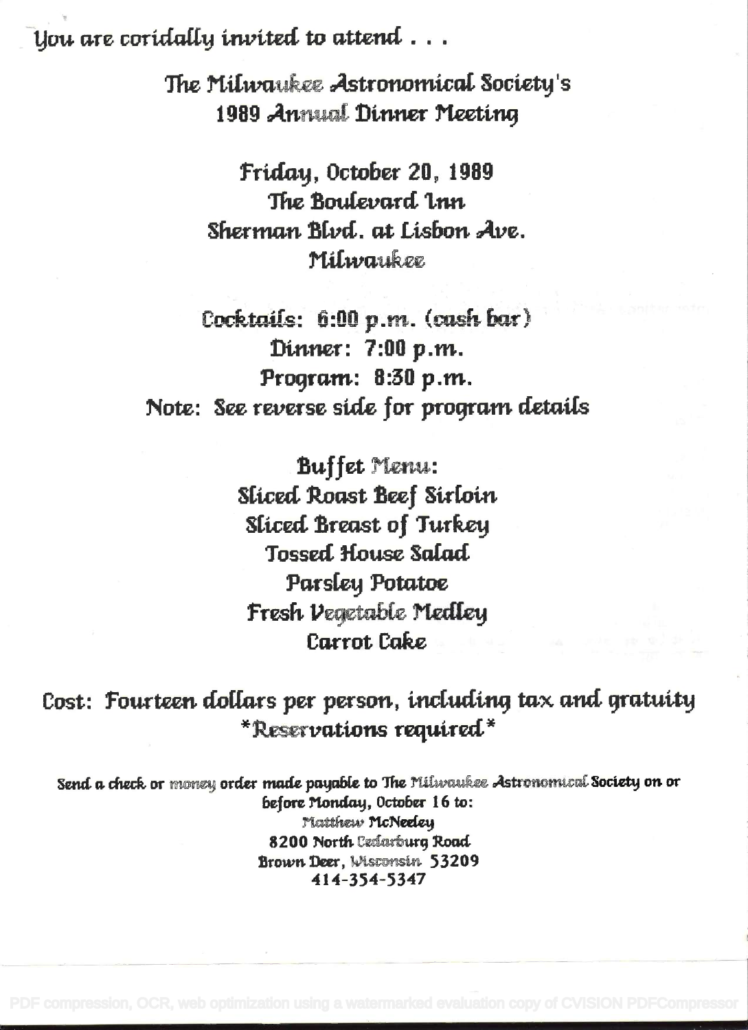You are coridally invited to attend  $\dots$ 

The Milwaukee Astronomical Society's 1989 Annual Dinner Meeting

Friday, October 20, 1989 The Boulevard Lnn Sherman Blvd. at Lisbon Ave. Milwaukee

Cocktails: 6:00 p.m. (cash bar) Dinner: 7:00 p.m. Program: 8:30 p.m. Note: See reverse side for program details

> **Buffet Menu: Sliced Roast Beef Sirloin Sliced Breast of Turkey Tossed House Salad** Parsley Potatoe Fresh Vegetable Medley **Carrot Cake**

Cost: Fourteen dollars per person, including tax and gratuity \*Reservations required\*

Send a check or money order made payable to The Milwaukee Astronomical Society on or before Monday, October 16 to: Matthew McNeeley 8200 North Ceclesrburg Road Brown Deer, Wisconsin 53209 414-354-5347